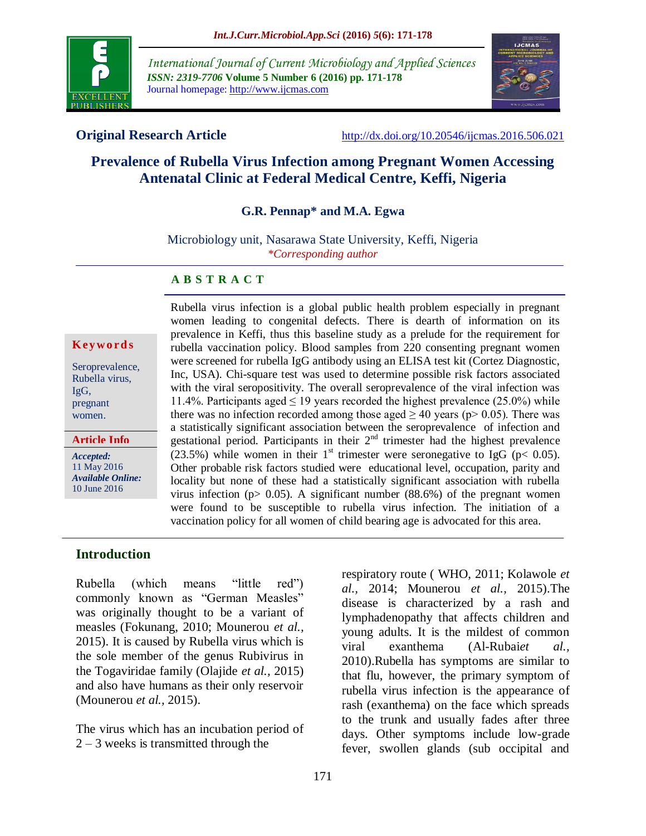

*International Journal of Current Microbiology and Applied Sciences ISSN: 2319-7706* **Volume 5 Number 6 (2016) pp. 171-178** Journal homepage: http://www.ijcmas.com



**Original Research Article** <http://dx.doi.org/10.20546/ijcmas.2016.506.021>

# **Prevalence of Rubella Virus Infection among Pregnant Women Accessing Antenatal Clinic at Federal Medical Centre, Keffi, Nigeria**

**G.R. Pennap\* and M.A. Egwa**

Microbiology unit, Nasarawa State University, Keffi, Nigeria *\*Corresponding author*

#### **A B S T R A C T**

#### **K ey w o rd s**

Seroprevalence, Rubella virus, IgG, pregnant women.

#### **Article Info**

*Accepted:*  11 May 2016 *Available Online:* 10 June 2016

Rubella virus infection is a global public health problem especially in pregnant women leading to congenital defects. There is dearth of information on its prevalence in Keffi, thus this baseline study as a prelude for the requirement for rubella vaccination policy. Blood samples from 220 consenting pregnant women were screened for rubella IgG antibody using an ELISA test kit (Cortez Diagnostic, Inc, USA). Chi-square test was used to determine possible risk factors associated with the viral seropositivity. The overall seroprevalence of the viral infection was 11.4%. Participants aged  $\leq$  19 years recorded the highest prevalence (25.0%) while there was no infection recorded among those aged  $\geq 40$  years (p> 0.05). There was a statistically significant association between the seroprevalence of infection and gestational period. Participants in their  $2<sup>nd</sup>$  trimester had the highest prevalence  $(23.5%)$  while women in their 1<sup>st</sup> trimester were seronegative to IgG (p< 0.05). Other probable risk factors studied were educational level, occupation, parity and locality but none of these had a statistically significant association with rubella virus infection ( $p > 0.05$ ). A significant number (88.6%) of the pregnant women were found to be susceptible to rubella virus infection. The initiation of a vaccination policy for all women of child bearing age is advocated for this area.

### **Introduction**

Rubella (which means "little red") commonly known as "German Measles" was originally thought to be a variant of measles (Fokunang, 2010; Mounerou *et al.,* 2015). It is caused by Rubella virus which is the sole member of the genus Rubivirus in the Togaviridae family (Olajide *et al.,* 2015) and also have humans as their only reservoir (Mounerou *et al.,* 2015).

The virus which has an incubation period of  $2 - 3$  weeks is transmitted through the

respiratory route ( WHO, 2011; Kolawole *et al.,* 2014; Mounerou *et al.,* 2015).The disease is characterized by a rash and lymphadenopathy that affects children and young adults. It is the mildest of common viral exanthema (Al-Rubai*et al.,* 2010).Rubella has symptoms are similar to that flu, however, the primary symptom of rubella virus infection is the appearance of rash (exanthema) on the face which spreads to the trunk and usually fades after three days. Other symptoms include low-grade fever, swollen glands (sub occipital and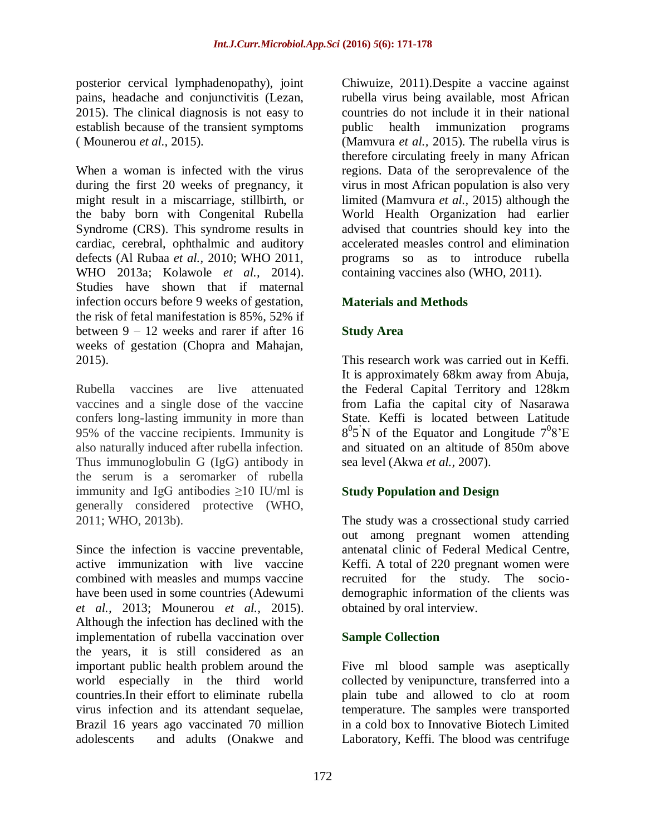posterior cervical lymphadenopathy), joint pains, headache and conjunctivitis (Lezan, 2015). The clinical diagnosis is not easy to establish because of the transient symptoms ( Mounerou *et al.,* 2015).

When a woman is infected with the virus during the first 20 weeks of pregnancy, it might result in a miscarriage, stillbirth, or the baby born with Congenital Rubella Syndrome (CRS). This syndrome results in cardiac, cerebral, ophthalmic and auditory defects (Al Rubaa *et al.,* 2010; WHO 2011, WHO 2013a; Kolawole *et al.,* 2014). Studies have shown that if maternal infection occurs before 9 weeks of gestation, the risk of fetal manifestation is 85%, 52% if between 9 – 12 weeks and rarer if after 16 weeks of gestation (Chopra and Mahajan, 2015).

Rubella vaccines are live attenuated vaccines and a single dose of the vaccine confers long-lasting immunity in more than 95% of the vaccine recipients. Immunity is also naturally induced after rubella infection. Thus immunoglobulin G (IgG) antibody in the serum is a seromarker of rubella immunity and IgG antibodies  $\geq 10$  IU/ml is generally considered protective (WHO, 2011; WHO, 2013b).

Since the infection is vaccine preventable, active immunization with live vaccine combined with measles and mumps vaccine have been used in some countries (Adewumi *et al.,* 2013; Mounerou *et al.,* 2015). Although the infection has declined with the implementation of rubella vaccination over the years, it is still considered as an important public health problem around the world especially in the third world countries.In their effort to eliminate rubella virus infection and its attendant sequelae, Brazil 16 years ago vaccinated 70 million adolescents and adults (Onakwe and

Chiwuize, 2011).Despite a vaccine against rubella virus being available, most African countries do not include it in their national public health immunization programs (Mamvura *et al.,* 2015). The rubella virus is therefore circulating freely in many African regions. Data of the seroprevalence of the virus in most African population is also very limited (Mamvura *et al.,* 2015) although the World Health Organization had earlier advised that countries should key into the accelerated measles control and elimination programs so as to introduce rubella containing vaccines also (WHO, 2011).

# **Materials and Methods**

### **Study Area**

This research work was carried out in Keffi. It is approximately 68km away from Abuja, the Federal Capital Territory and 128km from Lafia the capital city of Nasarawa State. Keffi is located between Latitude  $8^0$ 5<sup>'</sup>N of the Equator and Longitude  $7^0$ 8'E and situated on an altitude of 850m above sea level (Akwa *et al.,* 2007).

# **Study Population and Design**

The study was a crossectional study carried out among pregnant women attending antenatal clinic of Federal Medical Centre, Keffi. A total of 220 pregnant women were recruited for the study. The sociodemographic information of the clients was obtained by oral interview.

### **Sample Collection**

Five ml blood sample was aseptically collected by venipuncture, transferred into a plain tube and allowed to clo at room temperature. The samples were transported in a cold box to Innovative Biotech Limited Laboratory, Keffi. The blood was centrifuge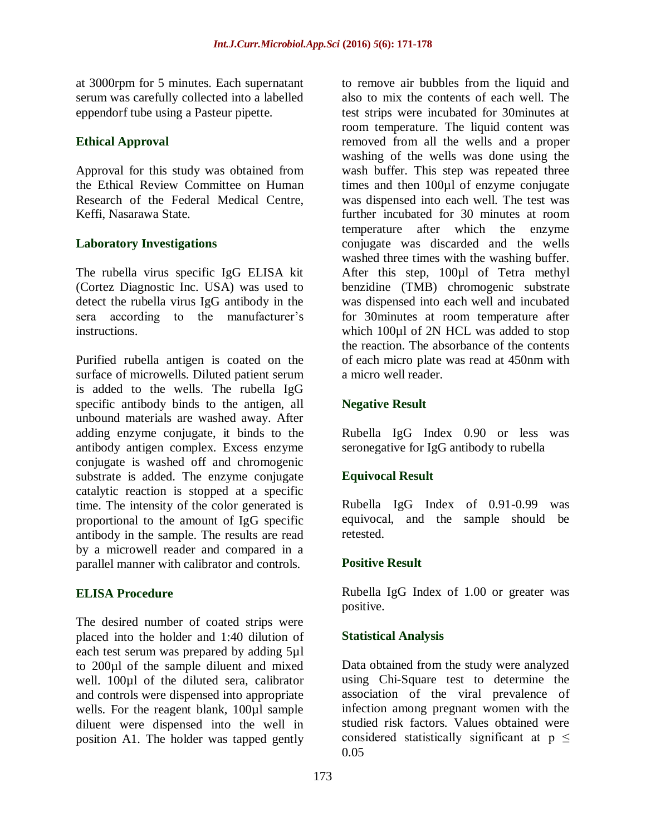at 3000rpm for 5 minutes. Each supernatant serum was carefully collected into a labelled eppendorf tube using a Pasteur pipette.

## **Ethical Approval**

Approval for this study was obtained from the Ethical Review Committee on Human Research of the Federal Medical Centre, Keffi, Nasarawa State.

### **Laboratory Investigations**

The rubella virus specific IgG ELISA kit (Cortez Diagnostic Inc. USA) was used to detect the rubella virus IgG antibody in the sera according to the manufacturer's instructions.

Purified rubella antigen is coated on the surface of microwells. Diluted patient serum is added to the wells. The rubella IgG specific antibody binds to the antigen, all unbound materials are washed away. After adding enzyme conjugate, it binds to the antibody antigen complex. Excess enzyme conjugate is washed off and chromogenic substrate is added. The enzyme conjugate catalytic reaction is stopped at a specific time. The intensity of the color generated is proportional to the amount of IgG specific antibody in the sample. The results are read by a microwell reader and compared in a parallel manner with calibrator and controls.

# **ELISA Procedure**

The desired number of coated strips were placed into the holder and 1:40 dilution of each test serum was prepared by adding 5µl to 200µl of the sample diluent and mixed well. 100 $\mu$ l of the diluted sera, calibrator and controls were dispensed into appropriate wells. For the reagent blank, 100ul sample diluent were dispensed into the well in position A1. The holder was tapped gently

to remove air bubbles from the liquid and also to mix the contents of each well. The test strips were incubated for 30minutes at room temperature. The liquid content was removed from all the wells and a proper washing of the wells was done using the wash buffer. This step was repeated three times and then 100µl of enzyme conjugate was dispensed into each well. The test was further incubated for 30 minutes at room temperature after which the enzyme conjugate was discarded and the wells washed three times with the washing buffer. After this step, 100µl of Tetra methyl benzidine (TMB) chromogenic substrate was dispensed into each well and incubated for 30minutes at room temperature after which 100µl of 2N HCL was added to stop the reaction. The absorbance of the contents of each micro plate was read at 450nm with a micro well reader.

## **Negative Result**

Rubella IgG Index 0.90 or less was seronegative for IgG antibody to rubella

# **Equivocal Result**

Rubella IgG Index of 0.91-0.99 was equivocal, and the sample should be retested.

### **Positive Result**

Rubella IgG Index of 1.00 or greater was positive.

### **Statistical Analysis**

Data obtained from the study were analyzed using Chi-Square test to determine the association of the viral prevalence of infection among pregnant women with the studied risk factors. Values obtained were considered statistically significant at  $p \leq$ 0.05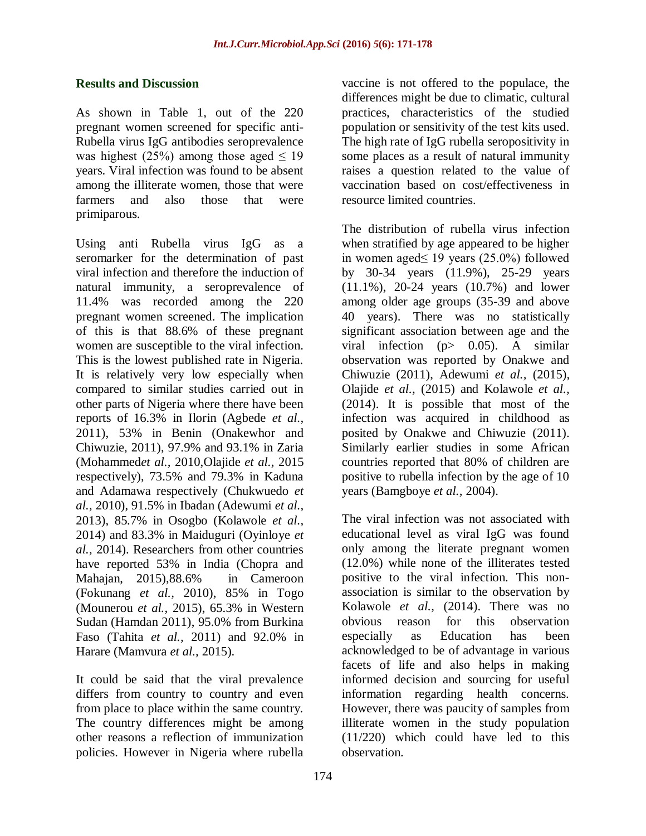#### **Results and Discussion**

As shown in Table 1, out of the 220 pregnant women screened for specific anti-Rubella virus IgG antibodies seroprevalence was highest (25%) among those aged  $\leq$  19 years. Viral infection was found to be absent among the illiterate women, those that were farmers and also those that were primiparous.

Using anti Rubella virus IgG as a seromarker for the determination of past viral infection and therefore the induction of natural immunity, a seroprevalence of 11.4% was recorded among the 220 pregnant women screened. The implication of this is that 88.6% of these pregnant women are susceptible to the viral infection. This is the lowest published rate in Nigeria. It is relatively very low especially when compared to similar studies carried out in other parts of Nigeria where there have been reports of 16.3% in Ilorin (Agbede *et al.,* 2011), 53% in Benin (Onakewhor and Chiwuzie, 2011), 97.9% and 93.1% in Zaria (Mohammed*et al.,* 2010,Olajide *et al.,* 2015 respectively), 73.5% and 79.3% in Kaduna and Adamawa respectively (Chukwuedo *et al.,* 2010), 91.5% in Ibadan (Adewumi *et al.,* 2013), 85.7% in Osogbo (Kolawole *et al.,* 2014) and 83.3% in Maiduguri (Oyinloye *et al.,* 2014). Researchers from other countries have reported 53% in India (Chopra and Mahajan, 2015),88.6% in Cameroon (Fokunang *et al.,* 2010), 85% in Togo (Mounerou *et al.,* 2015), 65.3% in Western Sudan (Hamdan 2011), 95.0% from Burkina Faso (Tahita *et al.,* 2011) and 92.0% in Harare (Mamvura *et al.,* 2015).

It could be said that the viral prevalence differs from country to country and even from place to place within the same country. The country differences might be among other reasons a reflection of immunization policies. However in Nigeria where rubella vaccine is not offered to the populace, the differences might be due to climatic, cultural practices, characteristics of the studied population or sensitivity of the test kits used. The high rate of IgG rubella seropositivity in some places as a result of natural immunity raises a question related to the value of vaccination based on cost/effectiveness in resource limited countries.

The distribution of rubella virus infection when stratified by age appeared to be higher in women aged≤ 19 years (25.0%) followed by 30-34 years (11.9%), 25-29 years (11.1%), 20-24 years (10.7%) and lower among older age groups (35-39 and above 40 years). There was no statistically significant association between age and the viral infection ( $p$ > 0.05). A similar observation was reported by Onakwe and Chiwuzie (2011), Adewumi *et al.,* (2015), Olajide *et al.,* (2015) and Kolawole *et al.,* (2014). It is possible that most of the infection was acquired in childhood as posited by Onakwe and Chiwuzie (2011). Similarly earlier studies in some African countries reported that 80% of children are positive to rubella infection by the age of 10 years (Bamgboye *et al.,* 2004).

The viral infection was not associated with educational level as viral IgG was found only among the literate pregnant women (12.0%) while none of the illiterates tested positive to the viral infection. This nonassociation is similar to the observation by Kolawole *et al.,* (2014). There was no obvious reason for this observation especially as Education has been acknowledged to be of advantage in various facets of life and also helps in making informed decision and sourcing for useful information regarding health concerns. However, there was paucity of samples from illiterate women in the study population (11/220) which could have led to this observation.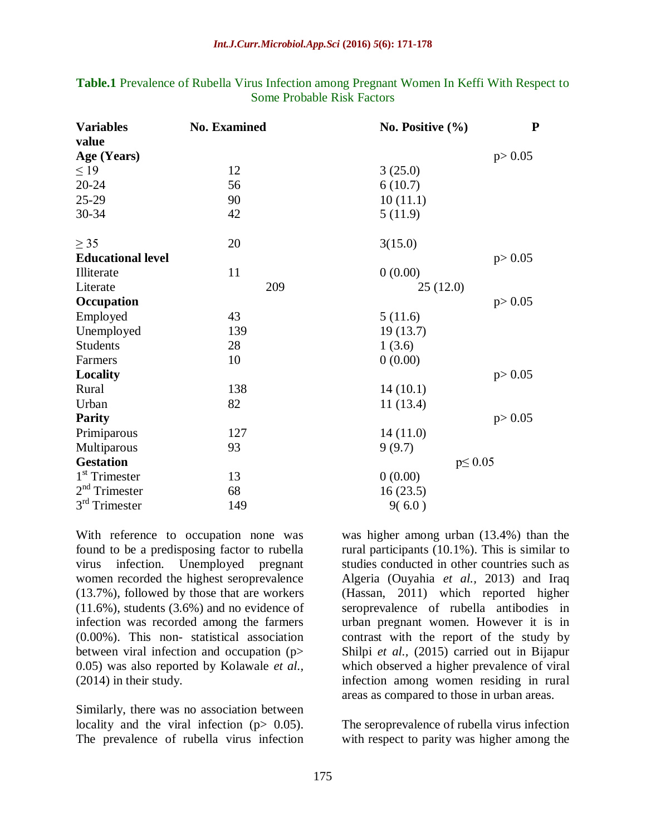| <b>Variables</b>          | <b>No. Examined</b> | No. Positive $(\% )$ | P        |
|---------------------------|---------------------|----------------------|----------|
| value                     |                     |                      |          |
| Age (Years)               |                     |                      | p > 0.05 |
| $\leq$ 19                 | 12                  | 3(25.0)              |          |
| $20 - 24$                 | 56                  | 6(10.7)              |          |
| $25-29$                   | 90                  | 10(11.1)             |          |
| 30-34                     | 42                  | 5(11.9)              |          |
| $\geq$ 35                 | 20                  | 3(15.0)              |          |
| <b>Educational level</b>  |                     |                      | p > 0.05 |
| Illiterate                | 11                  | 0(0.00)              |          |
| Literate                  | 209                 | 25(12.0)             |          |
| Occupation                |                     |                      | p > 0.05 |
| Employed                  | 43                  | 5(11.6)              |          |
| Unemployed                | 139                 | 19(13.7)             |          |
| <b>Students</b>           | 28                  | 1(3.6)               |          |
| Farmers                   | 10                  | 0(0.00)              |          |
| Locality                  |                     |                      | p > 0.05 |
| Rural                     | 138                 | 14(10.1)             |          |
| Urban                     | 82                  | 11(13.4)             |          |
| <b>Parity</b>             |                     |                      | p > 0.05 |
| Primiparous               | 127                 | 14(11.0)             |          |
| Multiparous               | 93                  | 9(9.7)               |          |
| <b>Gestation</b>          |                     | $p \leq 0.05$        |          |
| $1st$ Trimester           | 13                  | 0(0.00)              |          |
| $2nd$ Trimester           | 68                  | 16(23.5)             |          |
| 3 <sup>rd</sup> Trimester | 149                 | 9(6.0)               |          |

#### **Table.1** Prevalence of Rubella Virus Infection among Pregnant Women In Keffi With Respect to Some Probable Risk Factors

With reference to occupation none was found to be a predisposing factor to rubella virus infection. Unemployed pregnant women recorded the highest seroprevalence (13.7%), followed by those that are workers  $(11.6\%)$ , students  $(3.6\%)$  and no evidence of infection was recorded among the farmers (0.00%). This non- statistical association between viral infection and occupation (p> 0.05) was also reported by Kolawale *et al.,* (2014) in their study.

Similarly, there was no association between locality and the viral infection  $(p > 0.05)$ . The prevalence of rubella virus infection

was higher among urban (13.4%) than the rural participants (10.1%). This is similar to studies conducted in other countries such as Algeria (Ouyahia *et al.,* 2013) and Iraq (Hassan, 2011) which reported higher seroprevalence of rubella antibodies in urban pregnant women. However it is in contrast with the report of the study by Shilpi *et al.,* (2015) carried out in Bijapur which observed a higher prevalence of viral infection among women residing in rural areas as compared to those in urban areas.

The seroprevalence of rubella virus infection with respect to parity was higher among the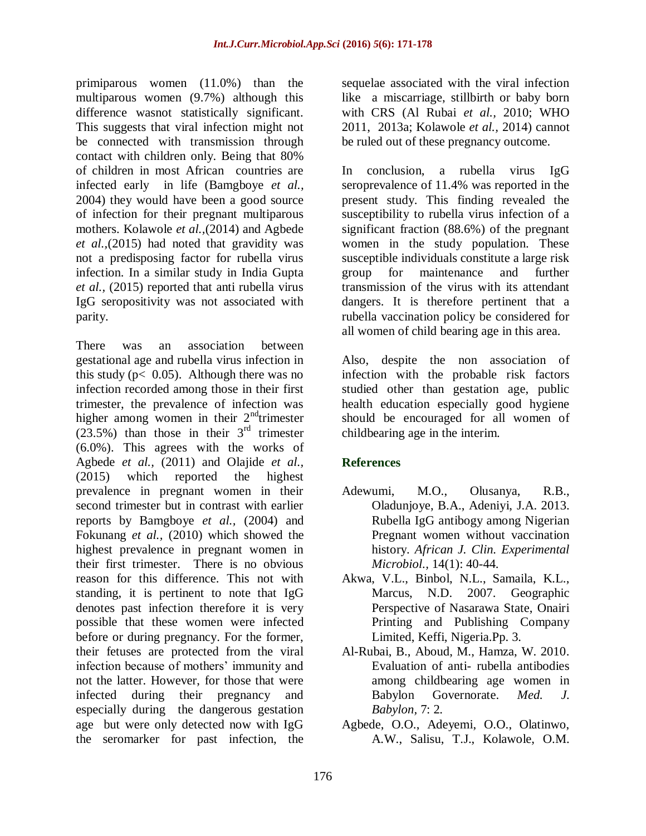primiparous women (11.0%) than the multiparous women (9.7%) although this difference wasnot statistically significant. This suggests that viral infection might not be connected with transmission through contact with children only. Being that 80% of children in most African countries are infected early in life (Bamgboye *et al.,* 2004) they would have been a good source of infection for their pregnant multiparous mothers. Kolawole *et al.,*(2014) and Agbede *et al.,*(2015) had noted that gravidity was not a predisposing factor for rubella virus infection. In a similar study in India Gupta *et al.,* (2015) reported that anti rubella virus IgG seropositivity was not associated with parity.

There was an association between gestational age and rubella virus infection in this study ( $p < 0.05$ ). Although there was no infection recorded among those in their first trimester, the prevalence of infection was higher among women in their  $2<sup>nd</sup>$ trimester  $(23.5%)$  than those in their  $3<sup>rd</sup>$  trimester (6.0%). This agrees with the works of Agbede *et al.,* (2011) and Olajide *et al.,* (2015) which reported the highest prevalence in pregnant women in their second trimester but in contrast with earlier reports by Bamgboye *et al.,* (2004) and Fokunang *et al.,* (2010) which showed the highest prevalence in pregnant women in their first trimester. There is no obvious reason for this difference. This not with standing, it is pertinent to note that IgG denotes past infection therefore it is very possible that these women were infected before or during pregnancy. For the former, their fetuses are protected from the viral infection because of mothers' immunity and not the latter. However, for those that were infected during their pregnancy and especially during the dangerous gestation age but were only detected now with IgG the seromarker for past infection, the

sequelae associated with the viral infection like a miscarriage, stillbirth or baby born with CRS (Al Rubai *et al.,* 2010; WHO 2011, 2013a; Kolawole *et al.,* 2014) cannot be ruled out of these pregnancy outcome.

In conclusion, a rubella virus IgG seroprevalence of 11.4% was reported in the present study. This finding revealed the susceptibility to rubella virus infection of a significant fraction (88.6%) of the pregnant women in the study population. These susceptible individuals constitute a large risk group for maintenance and further transmission of the virus with its attendant dangers. It is therefore pertinent that a rubella vaccination policy be considered for all women of child bearing age in this area.

Also, despite the non association of infection with the probable risk factors studied other than gestation age, public health education especially good hygiene should be encouraged for all women of childbearing age in the interim.

# **References**

- Adewumi, M.O., Olusanya, R.B., Oladunjoye, B.A., Adeniyi, J.A. 2013. Rubella IgG antibogy among Nigerian Pregnant women without vaccination history. *African J. Clin. Experimental Microbiol.,* 14(1): 40-44.
- Akwa, V.L., Binbol, N.L., Samaila, K.L., Marcus, N.D. 2007. Geographic Perspective of Nasarawa State, Onairi Printing and Publishing Company Limited, Keffi, Nigeria.Pp. 3.
- Al-Rubai, B., Aboud, M., Hamza, W. 2010. Evaluation of anti- rubella antibodies among childbearing age women in Babylon Governorate. *Med. J. Babylon,* 7: 2.
- Agbede, O.O., Adeyemi, O.O., Olatinwo, A.W., Salisu, T.J., Kolawole, O.M.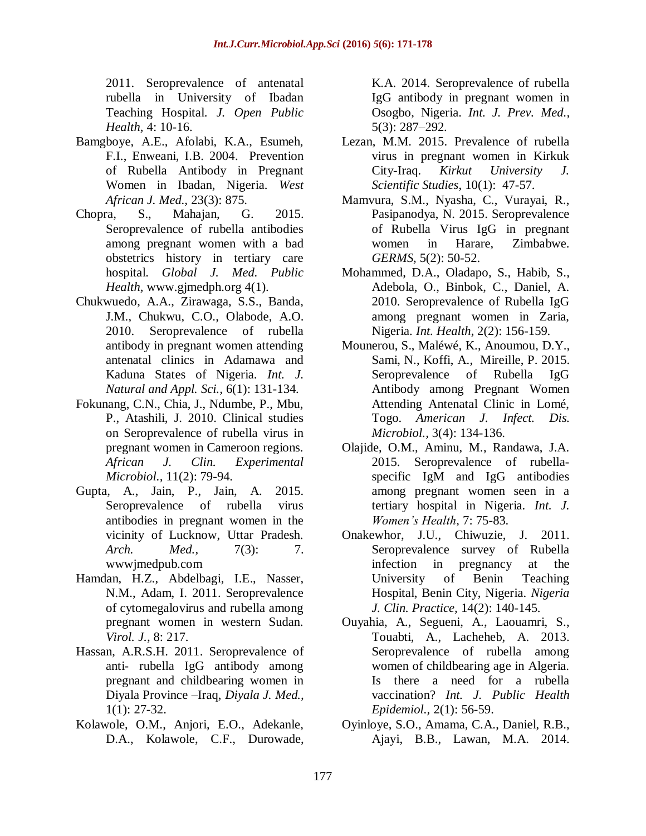2011. Seroprevalence of antenatal rubella in University of Ibadan Teaching Hospital. *J. Open Public Health,* 4: 10-16.

- Bamgboye, A.E., Afolabi, K.A., Esumeh, F.I., Enweani, I.B. 2004. Prevention of Rubella Antibody in Pregnant Women in Ibadan, Nigeria. *West African J. Med.,* 23(3): 875.
- Chopra, S., Mahajan, G. 2015. Seroprevalence of rubella antibodies among pregnant women with a bad obstetrics history in tertiary care hospital. *Global J. Med. Public Health,* www.gjmedph.org 4(1).
- Chukwuedo, A.A., Zirawaga, S.S., Banda, J.M., Chukwu, C.O., Olabode, A.O. 2010. Seroprevalence of rubella antibody in pregnant women attending antenatal clinics in Adamawa and Kaduna States of Nigeria. *Int. J. Natural and Appl. Sci.,* 6(1): 131-134.
- Fokunang, C.N., Chia, J., Ndumbe, P., Mbu, P., Atashili, J. 2010. Clinical studies on Seroprevalence of rubella virus in pregnant women in Cameroon regions. *African J. Clin. Experimental Microbiol.,* 11(2): 79-94.
- Gupta, A., Jain, P., Jain, A. 2015. Seroprevalence of rubella virus antibodies in pregnant women in the vicinity of Lucknow, Uttar Pradesh. *Arch. Med.*, 7(3): 7. wwwjmedpub.com
- Hamdan, H.Z., Abdelbagi, I.E., Nasser, N.M., Adam, I. 2011. Seroprevalence of cytomegalovirus and rubella among pregnant women in western Sudan. *Virol. J.,* 8: 217.
- Hassan, A.R.S.H. 2011. Seroprevalence of anti- rubella IgG antibody among pregnant and childbearing women in Diyala Province –Iraq, *Diyala J. Med.,*  $1(1): 27-32.$
- Kolawole, O.M., Anjori, E.O., Adekanle, D.A., Kolawole, C.F., Durowade,

K.A. 2014. Seroprevalence of rubella IgG antibody in pregnant women in Osogbo, Nigeria. *Int. J. Prev. Med.,* 5(3): 287–292.

- Lezan, M.M. 2015. Prevalence of rubella virus in pregnant women in Kirkuk City-Iraq. *Kirkut University J. Scientific Studies*, 10(1): 47-57.
- Mamvura, S.M., Nyasha, C., Vurayai, R., Pasipanodya, N. 2015. Seroprevalence of Rubella Virus IgG in pregnant women in Harare, Zimbabwe. *GERMS,* 5(2): 50-52.
- Mohammed, D.A., Oladapo, S., Habib, S., Adebola, O., Binbok, C., Daniel, A. 2010. Seroprevalence of Rubella IgG among pregnant women in Zaria, Nigeria. *Int. Health,* 2(2): 156-159.
- Mounerou, S., Maléwé, K., Anoumou, D.Y., Sami, N., Koffi, A., Mireille, P. 2015. Seroprevalence of Rubella IgG Antibody among Pregnant Women Attending Antenatal Clinic in Lomé, Togo. *American J. Infect. Dis. Microbiol.,* 3(4): 134-136.
- Olajide, O.M., Aminu, M., Randawa, J.A. 2015. Seroprevalence of rubellaspecific IgM and IgG antibodies among pregnant women seen in a tertiary hospital in Nigeria. *Int. J. Women's Health,* 7: 75-83.
- Onakewhor, J.U., Chiwuzie, J. 2011. Seroprevalence survey of Rubella infection in pregnancy at the University of Benin Teaching Hospital, Benin City, Nigeria. *Nigeria J. Clin. Practice,* 14(2): 140-145.
- Ouyahia, A., Segueni, A., Laouamri, S., Touabti, A., Lacheheb, A. 2013. Seroprevalence of rubella among women of childbearing age in Algeria. Is there a need for a rubella vaccination? *Int. J. Public Health Epidemiol.,* 2(1): 56-59.
- Oyinloye, S.O., Amama, C.A., Daniel, R.B., Ajayi, B.B., Lawan, M.A. 2014.